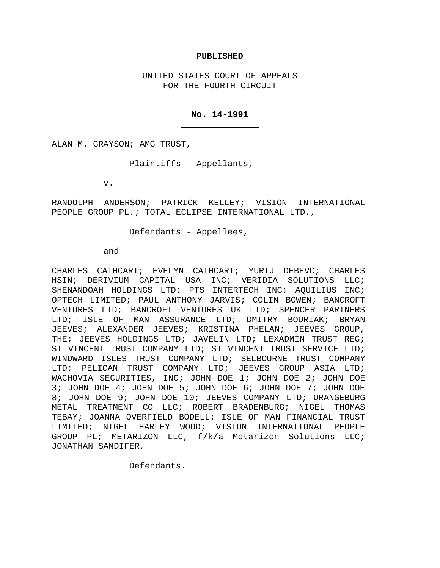### **PUBLISHED**

UNITED STATES COURT OF APPEALS FOR THE FOURTH CIRCUIT

## **No. 14-1991**

ALAN M. GRAYSON; AMG TRUST,

Plaintiffs - Appellants,

v.

RANDOLPH ANDERSON; PATRICK KELLEY; VISION INTERNATIONAL PEOPLE GROUP PL.; TOTAL ECLIPSE INTERNATIONAL LTD.,

Defendants - Appellees,

#### and

CHARLES CATHCART; EVELYN CATHCART; YURIJ DEBEVC; CHARLES HSIN; DERIVIUM CAPITAL USA INC; VERIDIA SOLUTIONS LLC; SHENANDOAH HOLDINGS LTD; PTS INTERTECH INC; AQUILIUS INC; OPTECH LIMITED; PAUL ANTHONY JARVIS; COLIN BOWEN; BANCROFT VENTURES LTD; BANCROFT VENTURES UK LTD; SPENCER PARTNERS LTD; ISLE OF MAN ASSURANCE LTD; DMITRY BOURIAK; BRYAN JEEVES; ALEXANDER JEEVES; KRISTINA PHELAN; JEEVES GROUP, THE; JEEVES HOLDINGS LTD; JAVELIN LTD; LEXADMIN TRUST REG; ST VINCENT TRUST COMPANY LTD; ST VINCENT TRUST SERVICE LTD; WINDWARD ISLES TRUST COMPANY LTD; SELBOURNE TRUST COMPANY LTD; PELICAN TRUST COMPANY LTD; JEEVES GROUP ASIA LTD; WACHOVIA SECURITIES, INC; JOHN DOE 1; JOHN DOE 2; JOHN DOE 3; JOHN DOE 4; JOHN DOE 5; JOHN DOE 6; JOHN DOE 7; JOHN DOE 8; JOHN DOE 9; JOHN DOE 10; JEEVES COMPANY LTD; ORANGEBURG METAL TREATMENT CO LLC; ROBERT BRADENBURG; NIGEL THOMAS TEBAY; JOANNA OVERFIELD BODELL; ISLE OF MAN FINANCIAL TRUST LIMITED; NIGEL HARLEY WOOD; VISION INTERNATIONAL PEOPLE GROUP PL; METARIZON LLC, f/k/a Metarizon Solutions LLC; JONATHAN SANDIFER,

Defendants.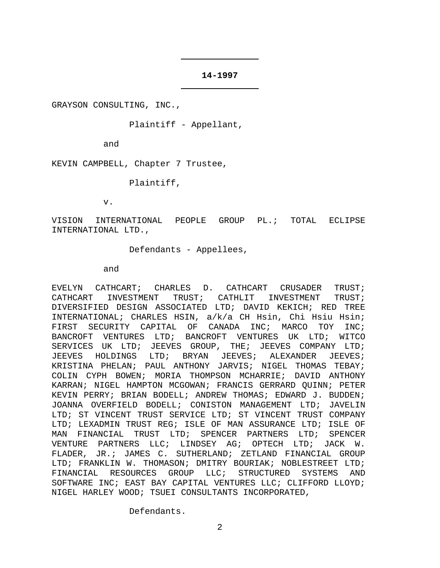### **14-1997**

GRAYSON CONSULTING, INC.,

Plaintiff - Appellant,

and

KEVIN CAMPBELL, Chapter 7 Trustee,

Plaintiff,

v.

VISION INTERNATIONAL PEOPLE GROUP PL.; TOTAL ECLIPSE INTERNATIONAL LTD.,

Defendants - Appellees,

and

EVELYN CATHCART; CHARLES D. CATHCART CRUSADER TRUST;<br>CATHCART INVESTMENT TRUST; CATHLIT INVESTMENT TRUST; CATHCART INVESTMENT TRUST; CATHLIT INVESTMENT TRUST; DIVERSIFIED DESIGN ASSOCIATED LTD; DAVID KEKICH; RED TREE INTERNATIONAL; CHARLES HSIN, a/k/a CH Hsin, Chi Hsiu Hsin; FIRST SECURITY CAPITAL OF CANADA INC; MARCO TOY INC; BANCROFT VENTURES LTD; BANCROFT VENTURES UK LTD; WITCO SERVICES UK LTD; JEEVES GROUP, THE; JEEVES COMPANY LTD;<br>JEEVES HOLDINGS LTD; BRYAN JEEVES; ALEXANDER JEEVES; JEEVES HOLDINGS LTD; BRYAN JEEVES; ALEXANDER JEEVES; KRISTINA PHELAN; PAUL ANTHONY JARVIS; NIGEL THOMAS TEBAY; COLIN CYPH BOWEN; MORIA THOMPSON MCHARRIE; DAVID ANTHONY KARRAN; NIGEL HAMPTON MCGOWAN; FRANCIS GERRARD QUINN; PETER KEVIN PERRY; BRIAN BODELL; ANDREW THOMAS; EDWARD J. BUDDEN; JOANNA OVERFIELD BODELL; CONISTON MANAGEMENT LTD; JAVELIN LTD; ST VINCENT TRUST SERVICE LTD; ST VINCENT TRUST COMPANY LTD; LEXADMIN TRUST REG; ISLE OF MAN ASSURANCE LTD; ISLE OF MAN FINANCIAL TRUST LTD; SPENCER PARTNERS LTD; SPENCER VENTURE PARTNERS LLC; LINDSEY AG; OPTECH LTD; JACK W. FLADER, JR.; JAMES C. SUTHERLAND; ZETLAND FINANCIAL GROUP LTD; FRANKLIN W. THOMASON; DMITRY BOURIAK; NOBLESTREET LTD; FINANCIAL RESOURCES GROUP LLC; STRUCTURED SYSTEMS AND SOFTWARE INC; EAST BAY CAPITAL VENTURES LLC; CLIFFORD LLOYD; NIGEL HARLEY WOOD; TSUEI CONSULTANTS INCORPORATED,

Defendants.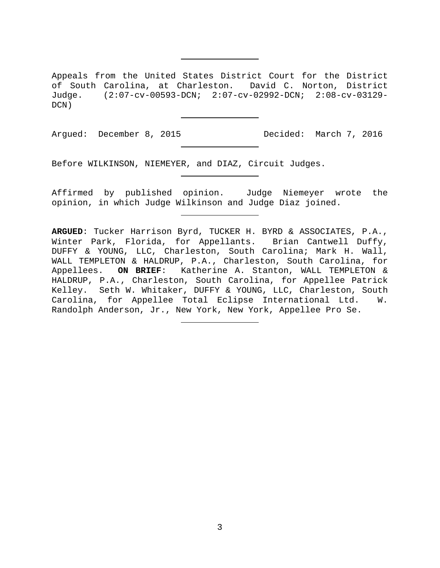Appeals from the United States District Court for the District of South Carolina, at Charleston. David C. Norton, District Judge. (2:07-cv-00593-DCN; 2:07-cv-02992-DCN; 2:08-cv-03129- DCN)

Argued: December 8, 2015 Decided: March 7, 2016

Before WILKINSON, NIEMEYER, and DIAZ, Circuit Judges.

Affirmed by published opinion. Judge Niemeyer wrote the opinion, in which Judge Wilkinson and Judge Diaz joined.

**ARGUED**: Tucker Harrison Byrd, TUCKER H. BYRD & ASSOCIATES, P.A., Winter Park, Florida, for Appellants. Brian Cantwell Duffy, DUFFY & YOUNG, LLC, Charleston, South Carolina; Mark H. Wall, WALL TEMPLETON & HALDRUP, P.A., Charleston, South Carolina, for Appellees. **ON BRIEF**: Katherine A. Stanton, WALL TEMPLETON & HALDRUP, P.A., Charleston, South Carolina, for Appellee Patrick Kelley. Seth W. Whitaker, DUFFY & YOUNG, LLC, Charleston, South<br>Carolina, for Appellee Total Eclipse International Ltd. W. Carolina, for Appellee Total Eclipse International Ltd. Randolph Anderson, Jr., New York, New York, Appellee Pro Se.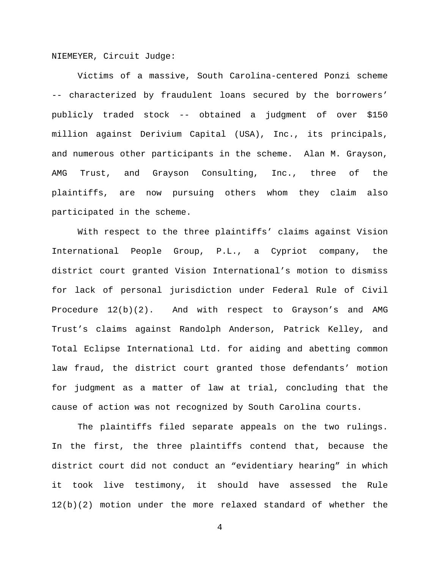NIEMEYER, Circuit Judge:

Victims of a massive, South Carolina-centered Ponzi scheme -- characterized by fraudulent loans secured by the borrowers' publicly traded stock -- obtained a judgment of over \$150 million against Derivium Capital (USA), Inc., its principals, and numerous other participants in the scheme. Alan M. Grayson, AMG Trust, and Grayson Consulting, Inc., three of the plaintiffs, are now pursuing others whom they claim also participated in the scheme.

With respect to the three plaintiffs' claims against Vision International People Group, P.L., a Cypriot company, the district court granted Vision International's motion to dismiss for lack of personal jurisdiction under Federal Rule of Civil Procedure 12(b)(2). And with respect to Grayson's and AMG Trust's claims against Randolph Anderson, Patrick Kelley, and Total Eclipse International Ltd. for aiding and abetting common law fraud, the district court granted those defendants' motion for judgment as a matter of law at trial, concluding that the cause of action was not recognized by South Carolina courts.

The plaintiffs filed separate appeals on the two rulings. In the first, the three plaintiffs contend that, because the district court did not conduct an "evidentiary hearing" in which it took live testimony, it should have assessed the Rule 12(b)(2) motion under the more relaxed standard of whether the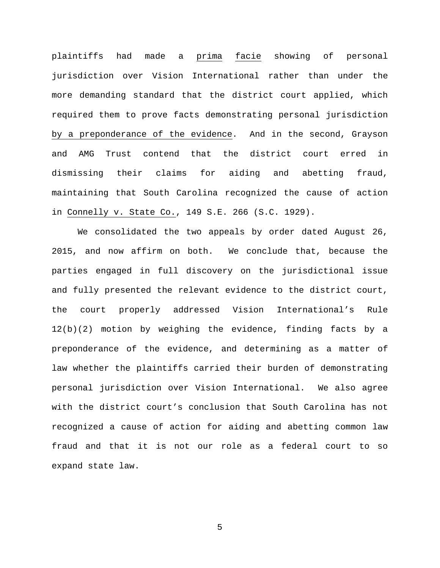plaintiffs had made a prima facie showing of personal jurisdiction over Vision International rather than under the more demanding standard that the district court applied, which required them to prove facts demonstrating personal jurisdiction by a preponderance of the evidence. And in the second, Grayson and AMG Trust contend that the district court erred in dismissing their claims for aiding and abetting fraud, maintaining that South Carolina recognized the cause of action in Connelly v. State Co., 149 S.E. 266 (S.C. 1929).

We consolidated the two appeals by order dated August 26, 2015, and now affirm on both. We conclude that, because the parties engaged in full discovery on the jurisdictional issue and fully presented the relevant evidence to the district court, the court properly addressed Vision International's Rule 12(b)(2) motion by weighing the evidence, finding facts by a preponderance of the evidence, and determining as a matter of law whether the plaintiffs carried their burden of demonstrating personal jurisdiction over Vision International. We also agree with the district court's conclusion that South Carolina has not recognized a cause of action for aiding and abetting common law fraud and that it is not our role as a federal court to so expand state law.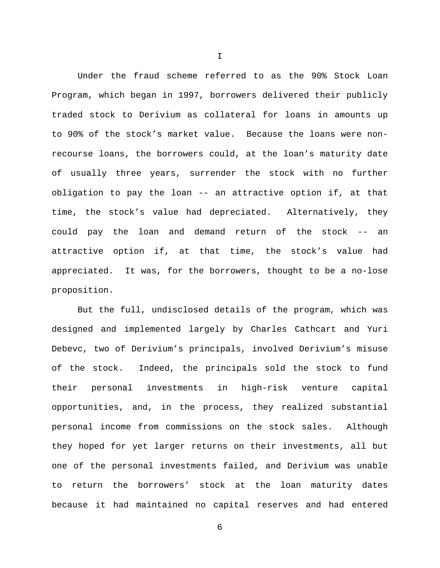Under the fraud scheme referred to as the 90% Stock Loan Program, which began in 1997, borrowers delivered their publicly traded stock to Derivium as collateral for loans in amounts up to 90% of the stock's market value. Because the loans were nonrecourse loans, the borrowers could, at the loan's maturity date of usually three years, surrender the stock with no further obligation to pay the loan -- an attractive option if, at that time, the stock's value had depreciated. Alternatively, they could pay the loan and demand return of the stock -- an attractive option if, at that time, the stock's value had appreciated. It was, for the borrowers, thought to be a no-lose proposition.

But the full, undisclosed details of the program, which was designed and implemented largely by Charles Cathcart and Yuri Debevc, two of Derivium's principals, involved Derivium's misuse of the stock. Indeed, the principals sold the stock to fund their personal investments in high-risk venture capital opportunities, and, in the process, they realized substantial personal income from commissions on the stock sales. Although they hoped for yet larger returns on their investments, all but one of the personal investments failed, and Derivium was unable to return the borrowers' stock at the loan maturity dates because it had maintained no capital reserves and had entered

I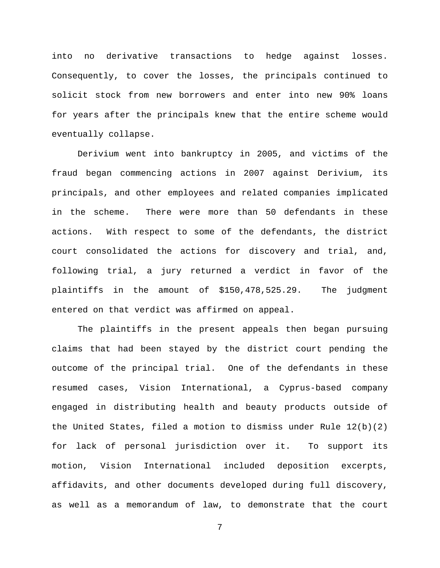into no derivative transactions to hedge against losses. Consequently, to cover the losses, the principals continued to solicit stock from new borrowers and enter into new 90% loans for years after the principals knew that the entire scheme would eventually collapse.

Derivium went into bankruptcy in 2005, and victims of the fraud began commencing actions in 2007 against Derivium, its principals, and other employees and related companies implicated in the scheme. There were more than 50 defendants in these actions. With respect to some of the defendants, the district court consolidated the actions for discovery and trial, and, following trial, a jury returned a verdict in favor of the plaintiffs in the amount of \$150,478,525.29. The judgment entered on that verdict was affirmed on appeal.

The plaintiffs in the present appeals then began pursuing claims that had been stayed by the district court pending the outcome of the principal trial. One of the defendants in these resumed cases, Vision International, a Cyprus-based company engaged in distributing health and beauty products outside of the United States, filed a motion to dismiss under Rule  $12(b)(2)$ for lack of personal jurisdiction over it. To support its motion, Vision International included deposition excerpts, affidavits, and other documents developed during full discovery, as well as a memorandum of law, to demonstrate that the court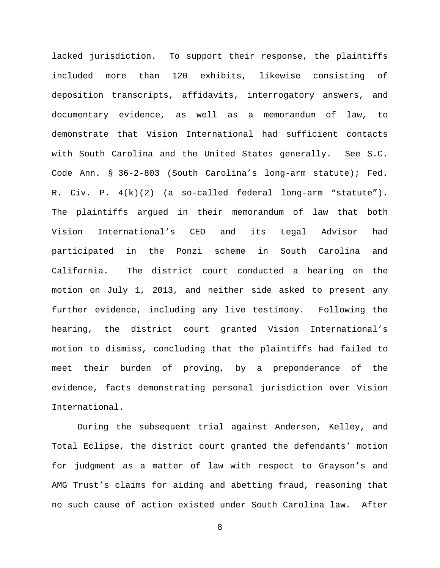lacked jurisdiction. To support their response, the plaintiffs included more than 120 exhibits, likewise consisting of deposition transcripts, affidavits, interrogatory answers, and documentary evidence, as well as a memorandum of law, to demonstrate that Vision International had sufficient contacts with South Carolina and the United States generally. See S.C. Code Ann. § 36-2-803 (South Carolina's long-arm statute); Fed. R. Civ. P. 4(k)(2) (a so-called federal long-arm "statute"). The plaintiffs argued in their memorandum of law that both Vision International's CEO and its Legal Advisor had participated in the Ponzi scheme in South Carolina and California. The district court conducted a hearing on the motion on July 1, 2013, and neither side asked to present any further evidence, including any live testimony. Following the hearing, the district court granted Vision International's motion to dismiss, concluding that the plaintiffs had failed to meet their burden of proving, by a preponderance of the evidence, facts demonstrating personal jurisdiction over Vision International.

During the subsequent trial against Anderson, Kelley, and Total Eclipse, the district court granted the defendants' motion for judgment as a matter of law with respect to Grayson's and AMG Trust's claims for aiding and abetting fraud, reasoning that no such cause of action existed under South Carolina law. After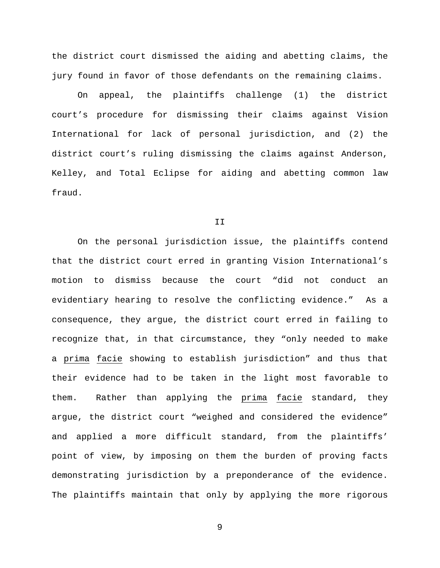the district court dismissed the aiding and abetting claims, the jury found in favor of those defendants on the remaining claims.

On appeal, the plaintiffs challenge (1) the district court's procedure for dismissing their claims against Vision International for lack of personal jurisdiction, and (2) the district court's ruling dismissing the claims against Anderson, Kelley, and Total Eclipse for aiding and abetting common law fraud.

#### II

On the personal jurisdiction issue, the plaintiffs contend that the district court erred in granting Vision International's motion to dismiss because the court "did not conduct an evidentiary hearing to resolve the conflicting evidence." As a consequence, they argue, the district court erred in failing to recognize that, in that circumstance, they "only needed to make a prima facie showing to establish jurisdiction" and thus that their evidence had to be taken in the light most favorable to them. Rather than applying the prima facie standard, they argue, the district court "weighed and considered the evidence" and applied a more difficult standard, from the plaintiffs' point of view, by imposing on them the burden of proving facts demonstrating jurisdiction by a preponderance of the evidence. The plaintiffs maintain that only by applying the more rigorous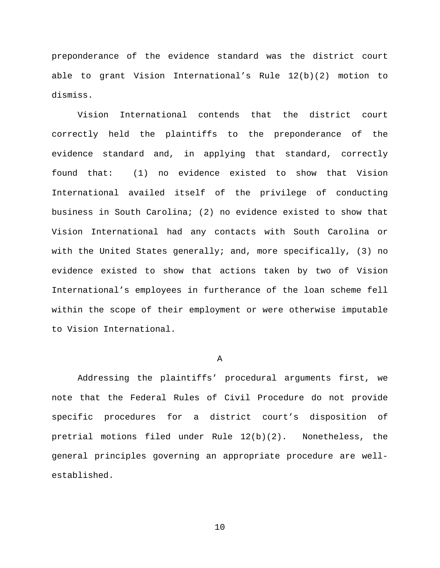preponderance of the evidence standard was the district court able to grant Vision International's Rule 12(b)(2) motion to dismiss.

Vision International contends that the district court correctly held the plaintiffs to the preponderance of the evidence standard and, in applying that standard, correctly found that: (1) no evidence existed to show that Vision International availed itself of the privilege of conducting business in South Carolina; (2) no evidence existed to show that Vision International had any contacts with South Carolina or with the United States generally; and, more specifically, (3) no evidence existed to show that actions taken by two of Vision International's employees in furtherance of the loan scheme fell within the scope of their employment or were otherwise imputable to Vision International.

# A

Addressing the plaintiffs' procedural arguments first, we note that the Federal Rules of Civil Procedure do not provide specific procedures for a district court's disposition of pretrial motions filed under Rule 12(b)(2). Nonetheless, the general principles governing an appropriate procedure are wellestablished.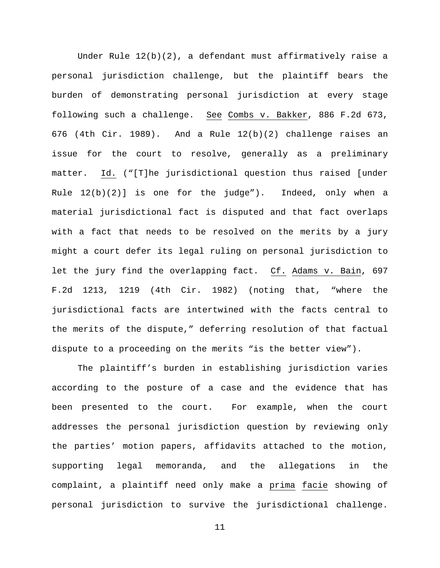Under Rule 12(b)(2), a defendant must affirmatively raise a personal jurisdiction challenge, but the plaintiff bears the burden of demonstrating personal jurisdiction at every stage following such a challenge. See Combs v. Bakker, 886 F.2d 673, 676 (4th Cir. 1989). And a Rule 12(b)(2) challenge raises an issue for the court to resolve, generally as a preliminary matter. Id. ("[T]he jurisdictional question thus raised [under Rule 12(b)(2)] is one for the judge"). Indeed, only when a material jurisdictional fact is disputed and that fact overlaps with a fact that needs to be resolved on the merits by a jury might a court defer its legal ruling on personal jurisdiction to let the jury find the overlapping fact. Cf. Adams v. Bain, 697 F.2d 1213, 1219 (4th Cir. 1982) (noting that, "where the jurisdictional facts are intertwined with the facts central to the merits of the dispute," deferring resolution of that factual dispute to a proceeding on the merits "is the better view").

The plaintiff's burden in establishing jurisdiction varies according to the posture of a case and the evidence that has been presented to the court. For example, when the court addresses the personal jurisdiction question by reviewing only the parties' motion papers, affidavits attached to the motion, supporting legal memoranda, and the allegations in the complaint, a plaintiff need only make a prima facie showing of personal jurisdiction to survive the jurisdictional challenge.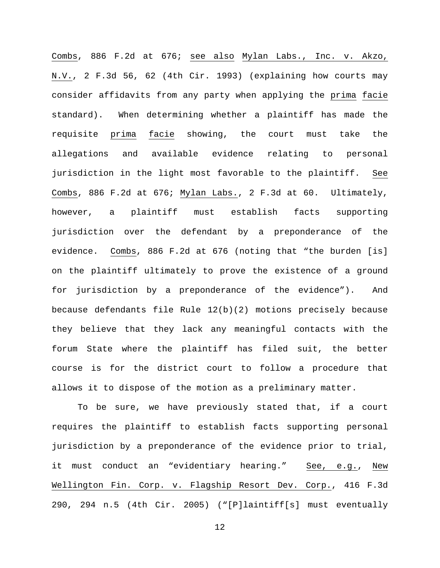Combs, 886 F.2d at 676; see also Mylan Labs., Inc. v. Akzo, N.V., 2 F.3d 56, 62 (4th Cir. 1993) (explaining how courts may consider affidavits from any party when applying the prima facie standard). When determining whether a plaintiff has made the requisite prima facie showing, the court must take the allegations and available evidence relating to personal jurisdiction in the light most favorable to the plaintiff. See Combs, 886 F.2d at 676; Mylan Labs., 2 F.3d at 60. Ultimately, however, a plaintiff must establish facts supporting jurisdiction over the defendant by a preponderance of the evidence. Combs, 886 F.2d at 676 (noting that "the burden [is] on the plaintiff ultimately to prove the existence of a ground for jurisdiction by a preponderance of the evidence"). And because defendants file Rule 12(b)(2) motions precisely because they believe that they lack any meaningful contacts with the forum State where the plaintiff has filed suit, the better course is for the district court to follow a procedure that allows it to dispose of the motion as a preliminary matter.

To be sure, we have previously stated that, if a court requires the plaintiff to establish facts supporting personal jurisdiction by a preponderance of the evidence prior to trial, it must conduct an "evidentiary hearing." See, e.g., New Wellington Fin. Corp. v. Flagship Resort Dev. Corp., 416 F.3d 290, 294 n.5 (4th Cir. 2005) ("[P]laintiff[s] must eventually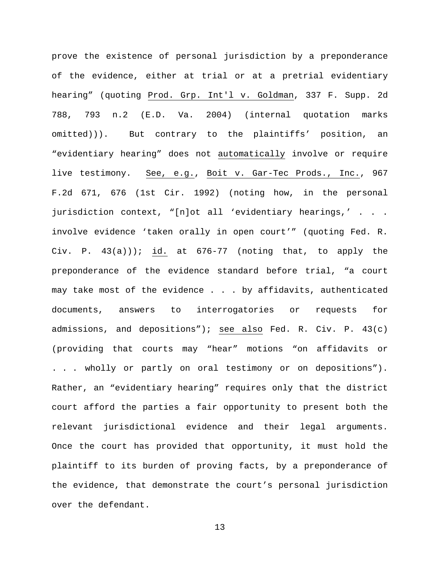prove the existence of personal jurisdiction by a preponderance of the evidence, either at trial or at a pretrial evidentiary hearing" (quoting Prod. Grp. Int'l v. Goldman, 337 F. Supp. 2d 788, 793 n.2 (E.D. Va. 2004) (internal quotation marks omitted))). But contrary to the plaintiffs' position, an "evidentiary hearing" does not automatically involve or require live testimony. See, e.g., Boit v. Gar-Tec Prods., Inc., 967 F.2d 671, 676 (1st Cir. 1992) (noting how, in the personal jurisdiction context, "[n]ot all 'evidentiary hearings,' . . . involve evidence 'taken orally in open court'" (quoting Fed. R. Civ. P.  $43(a))$ ; id. at  $676-77$  (noting that, to apply the preponderance of the evidence standard before trial, "a court may take most of the evidence . . . by affidavits, authenticated documents, answers to interrogatories or requests for admissions, and depositions"); see also Fed. R. Civ. P. 43(c) (providing that courts may "hear" motions "on affidavits or . . . wholly or partly on oral testimony or on depositions"). Rather, an "evidentiary hearing" requires only that the district court afford the parties a fair opportunity to present both the relevant jurisdictional evidence and their legal arguments. Once the court has provided that opportunity, it must hold the plaintiff to its burden of proving facts, by a preponderance of the evidence, that demonstrate the court's personal jurisdiction over the defendant.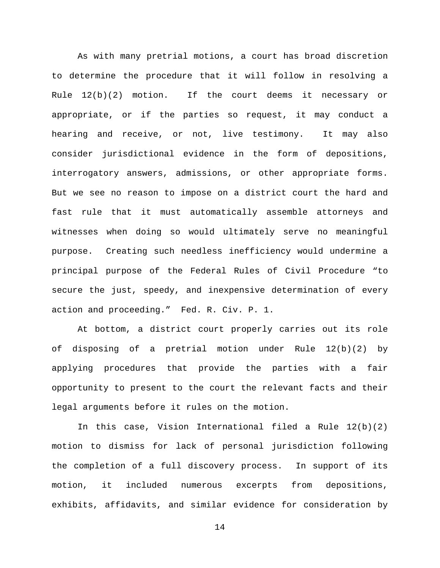As with many pretrial motions, a court has broad discretion to determine the procedure that it will follow in resolving a Rule  $12(b)(2)$  motion. If the court deems it necessary or appropriate, or if the parties so request, it may conduct a hearing and receive, or not, live testimony. It may also consider jurisdictional evidence in the form of depositions, interrogatory answers, admissions, or other appropriate forms. But we see no reason to impose on a district court the hard and fast rule that it must automatically assemble attorneys and witnesses when doing so would ultimately serve no meaningful purpose. Creating such needless inefficiency would undermine a principal purpose of the Federal Rules of Civil Procedure "to secure the just, speedy, and inexpensive determination of every action and proceeding." Fed. R. Civ. P. 1.

At bottom, a district court properly carries out its role of disposing of a pretrial motion under Rule 12(b)(2) by applying procedures that provide the parties with a fair opportunity to present to the court the relevant facts and their legal arguments before it rules on the motion.

In this case, Vision International filed a Rule 12(b)(2) motion to dismiss for lack of personal jurisdiction following the completion of a full discovery process. In support of its motion, it included numerous excerpts from depositions, exhibits, affidavits, and similar evidence for consideration by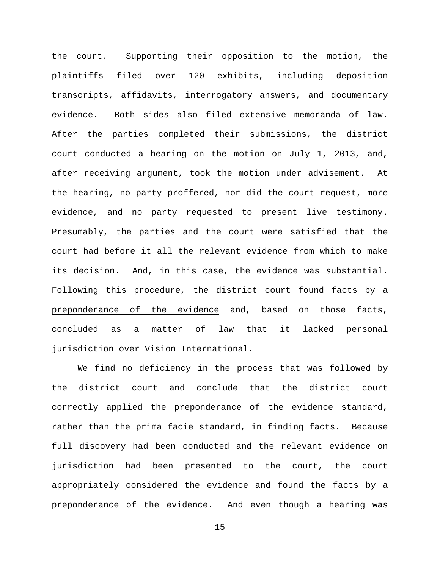the court. Supporting their opposition to the motion, the plaintiffs filed over 120 exhibits, including deposition transcripts, affidavits, interrogatory answers, and documentary evidence. Both sides also filed extensive memoranda of law. After the parties completed their submissions, the district court conducted a hearing on the motion on July 1, 2013, and, after receiving argument, took the motion under advisement. At the hearing, no party proffered, nor did the court request, more evidence, and no party requested to present live testimony. Presumably, the parties and the court were satisfied that the court had before it all the relevant evidence from which to make its decision. And, in this case, the evidence was substantial. Following this procedure, the district court found facts by a preponderance of the evidence and, based on those facts, concluded as a matter of law that it lacked personal jurisdiction over Vision International.

We find no deficiency in the process that was followed by the district court and conclude that the district court correctly applied the preponderance of the evidence standard, rather than the prima facie standard, in finding facts. Because full discovery had been conducted and the relevant evidence on jurisdiction had been presented to the court, the court appropriately considered the evidence and found the facts by a preponderance of the evidence. And even though a hearing was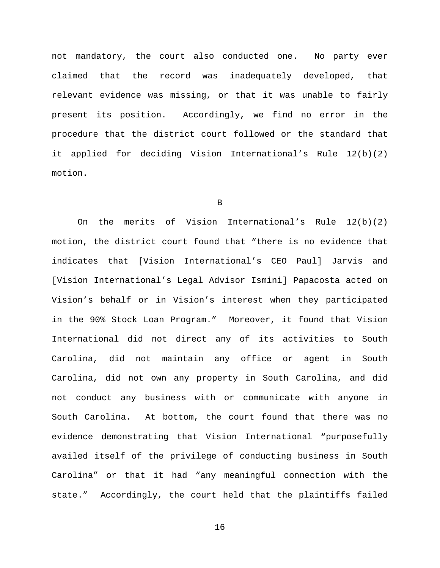not mandatory, the court also conducted one. No party ever claimed that the record was inadequately developed, that relevant evidence was missing, or that it was unable to fairly present its position. Accordingly, we find no error in the procedure that the district court followed or the standard that it applied for deciding Vision International's Rule 12(b)(2) motion.

B

On the merits of Vision International's Rule 12(b)(2) motion, the district court found that "there is no evidence that indicates that [Vision International's CEO Paul] Jarvis and [Vision International's Legal Advisor Ismini] Papacosta acted on Vision's behalf or in Vision's interest when they participated in the 90% Stock Loan Program." Moreover, it found that Vision International did not direct any of its activities to South Carolina, did not maintain any office or agent in South Carolina, did not own any property in South Carolina, and did not conduct any business with or communicate with anyone in South Carolina. At bottom, the court found that there was no evidence demonstrating that Vision International "purposefully availed itself of the privilege of conducting business in South Carolina" or that it had "any meaningful connection with the state." Accordingly, the court held that the plaintiffs failed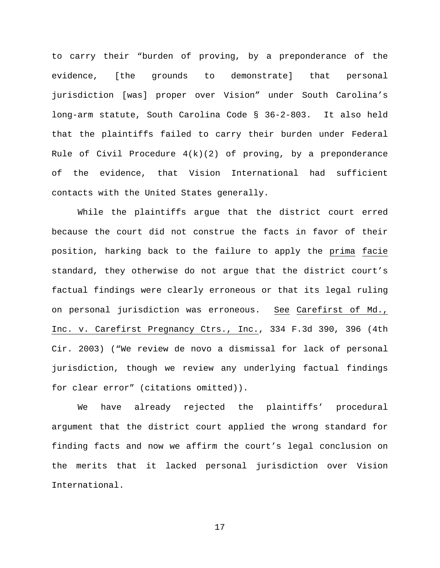to carry their "burden of proving, by a preponderance of the evidence, [the grounds to demonstrate] that personal jurisdiction [was] proper over Vision" under South Carolina's long-arm statute, South Carolina Code § 36-2-803. It also held that the plaintiffs failed to carry their burden under Federal Rule of Civil Procedure  $4(k)(2)$  of proving, by a preponderance of the evidence, that Vision International had sufficient contacts with the United States generally.

While the plaintiffs argue that the district court erred because the court did not construe the facts in favor of their position, harking back to the failure to apply the prima facie standard, they otherwise do not argue that the district court's factual findings were clearly erroneous or that its legal ruling on personal jurisdiction was erroneous. See Carefirst of Md., Inc. v. Carefirst Pregnancy Ctrs., Inc., 334 F.3d 390, 396 (4th Cir. 2003) ("We review de novo a dismissal for lack of personal jurisdiction, though we review any underlying factual findings for clear error" (citations omitted)).

We have already rejected the plaintiffs' procedural argument that the district court applied the wrong standard for finding facts and now we affirm the court's legal conclusion on the merits that it lacked personal jurisdiction over Vision International.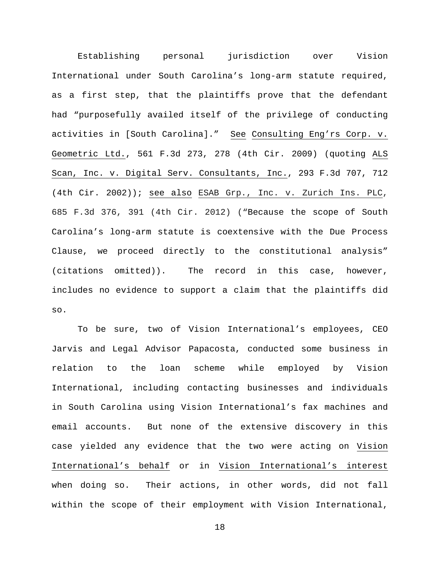Establishing personal jurisdiction over Vision International under South Carolina's long-arm statute required, as a first step, that the plaintiffs prove that the defendant had "purposefully availed itself of the privilege of conducting activities in [South Carolina]." See Consulting Eng'rs Corp. v. Geometric Ltd., 561 F.3d 273, 278 (4th Cir. 2009) (quoting ALS Scan, Inc. v. Digital Serv. Consultants, Inc., 293 F.3d 707, 712 (4th Cir. 2002)); see also ESAB Grp., Inc. v. Zurich Ins. PLC, 685 F.3d 376, 391 (4th Cir. 2012) ("Because the scope of South Carolina's long-arm statute is coextensive with the Due Process Clause, we proceed directly to the constitutional analysis" (citations omitted)). The record in this case, however, includes no evidence to support a claim that the plaintiffs did so.

To be sure, two of Vision International's employees, CEO Jarvis and Legal Advisor Papacosta, conducted some business in relation to the loan scheme while employed by Vision International, including contacting businesses and individuals in South Carolina using Vision International's fax machines and email accounts. But none of the extensive discovery in this case yielded any evidence that the two were acting on Vision International's behalf or in Vision International's interest when doing so. Their actions, in other words, did not fall within the scope of their employment with Vision International,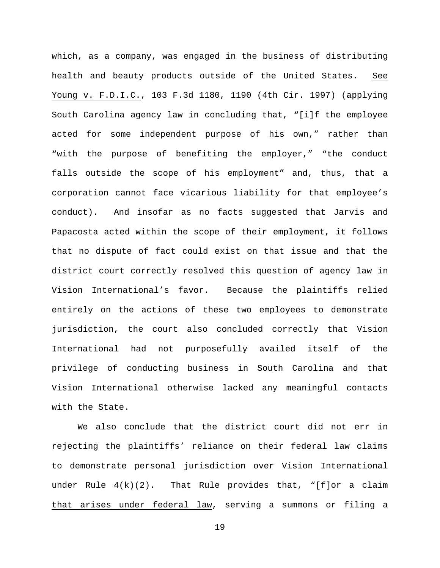which, as a company, was engaged in the business of distributing health and beauty products outside of the United States. See Young v. F.D.I.C., 103 F.3d 1180, 1190 (4th Cir. 1997) (applying South Carolina agency law in concluding that, "[i]f the employee acted for some independent purpose of his own," rather than "with the purpose of benefiting the employer," "the conduct falls outside the scope of his employment" and, thus, that a corporation cannot face vicarious liability for that employee's conduct). And insofar as no facts suggested that Jarvis and Papacosta acted within the scope of their employment, it follows that no dispute of fact could exist on that issue and that the district court correctly resolved this question of agency law in Vision International's favor. Because the plaintiffs relied entirely on the actions of these two employees to demonstrate jurisdiction, the court also concluded correctly that Vision International had not purposefully availed itself of the privilege of conducting business in South Carolina and that Vision International otherwise lacked any meaningful contacts with the State.

We also conclude that the district court did not err in rejecting the plaintiffs' reliance on their federal law claims to demonstrate personal jurisdiction over Vision International under Rule  $4(k)(2)$ . That Rule provides that, "[f]or a claim that arises under federal law, serving a summons or filing a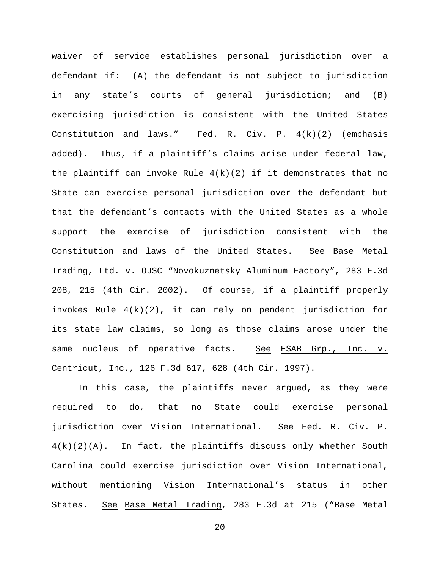waiver of service establishes personal jurisdiction over a defendant if: (A) the defendant is not subject to jurisdiction in any state's courts of general jurisdiction; and (B) exercising jurisdiction is consistent with the United States Constitution and laws." Fed. R. Civ. P. 4(k)(2) (emphasis added). Thus, if a plaintiff's claims arise under federal law, the plaintiff can invoke Rule  $4(k)(2)$  if it demonstrates that no State can exercise personal jurisdiction over the defendant but that the defendant's contacts with the United States as a whole support the exercise of jurisdiction consistent with the Constitution and laws of the United States. See Base Metal Trading, Ltd. v. OJSC "Novokuznetsky Aluminum Factory", 283 F.3d 208, 215 (4th Cir. 2002). Of course, if a plaintiff properly invokes Rule 4(k)(2), it can rely on pendent jurisdiction for its state law claims, so long as those claims arose under the same nucleus of operative facts. See ESAB Grp., Inc. v. Centricut, Inc., 126 F.3d 617, 628 (4th Cir. 1997).

In this case, the plaintiffs never argued, as they were required to do, that no State could exercise personal jurisdiction over Vision International. See Fed. R. Civ. P. 4(k)(2)(A). In fact, the plaintiffs discuss only whether South Carolina could exercise jurisdiction over Vision International, without mentioning Vision International's status in other States. See Base Metal Trading, 283 F.3d at 215 ("Base Metal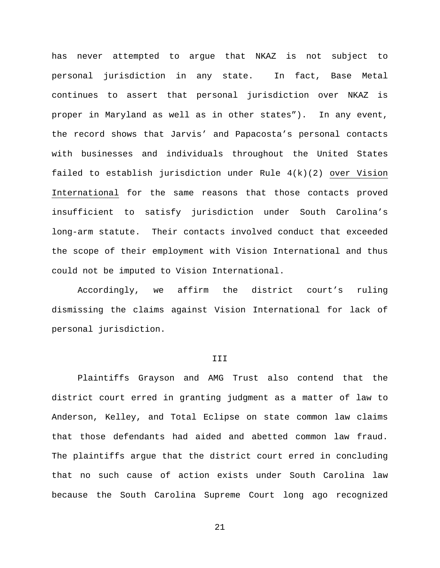has never attempted to argue that NKAZ is not subject to personal jurisdiction in any state. In fact, Base Metal continues to assert that personal jurisdiction over NKAZ is proper in Maryland as well as in other states"). In any event, the record shows that Jarvis' and Papacosta's personal contacts with businesses and individuals throughout the United States failed to establish jurisdiction under Rule 4(k)(2) over Vision International for the same reasons that those contacts proved insufficient to satisfy jurisdiction under South Carolina's long-arm statute. Their contacts involved conduct that exceeded the scope of their employment with Vision International and thus could not be imputed to Vision International.

Accordingly, we affirm the district court's ruling dismissing the claims against Vision International for lack of personal jurisdiction.

# III

Plaintiffs Grayson and AMG Trust also contend that the district court erred in granting judgment as a matter of law to Anderson, Kelley, and Total Eclipse on state common law claims that those defendants had aided and abetted common law fraud. The plaintiffs argue that the district court erred in concluding that no such cause of action exists under South Carolina law because the South Carolina Supreme Court long ago recognized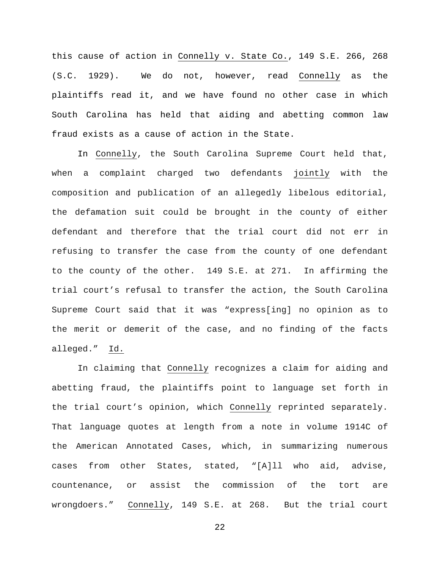this cause of action in Connelly v. State Co., 149 S.E. 266, 268 (S.C. 1929). We do not, however, read Connelly as the plaintiffs read it, and we have found no other case in which South Carolina has held that aiding and abetting common law fraud exists as a cause of action in the State.

In Connelly, the South Carolina Supreme Court held that, when a complaint charged two defendants jointly with the composition and publication of an allegedly libelous editorial, the defamation suit could be brought in the county of either defendant and therefore that the trial court did not err in refusing to transfer the case from the county of one defendant to the county of the other. 149 S.E. at 271. In affirming the trial court's refusal to transfer the action, the South Carolina Supreme Court said that it was "express[ing] no opinion as to the merit or demerit of the case, and no finding of the facts alleged." Id.

In claiming that Connelly recognizes a claim for aiding and abetting fraud, the plaintiffs point to language set forth in the trial court's opinion, which Connelly reprinted separately. That language quotes at length from a note in volume 1914C of the American Annotated Cases, which, in summarizing numerous cases from other States, stated, "[A]ll who aid, advise, countenance, or assist the commission of the tort are wrongdoers." Connelly, 149 S.E. at 268. But the trial court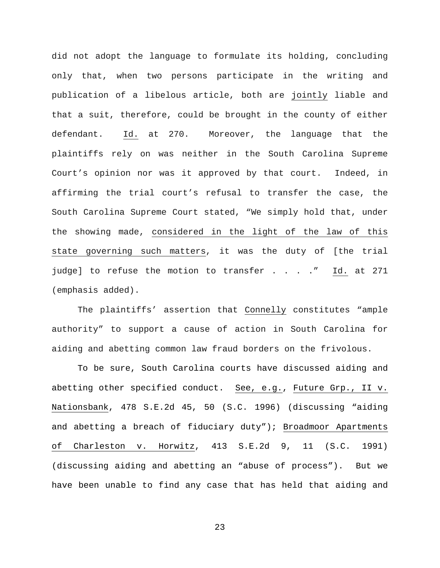did not adopt the language to formulate its holding, concluding only that, when two persons participate in the writing and publication of a libelous article, both are jointly liable and that a suit, therefore, could be brought in the county of either defendant. Id. at 270. Moreover, the language that the plaintiffs rely on was neither in the South Carolina Supreme Court's opinion nor was it approved by that court. Indeed, in affirming the trial court's refusal to transfer the case, the South Carolina Supreme Court stated, "We simply hold that, under the showing made, considered in the light of the law of this state governing such matters, it was the duty of [the trial judge] to refuse the motion to transfer . . . . " Id. at 271 (emphasis added).

The plaintiffs' assertion that Connelly constitutes "ample authority" to support a cause of action in South Carolina for aiding and abetting common law fraud borders on the frivolous.

To be sure, South Carolina courts have discussed aiding and abetting other specified conduct. See, e.g., Future Grp., II v. Nationsbank, 478 S.E.2d 45, 50 (S.C. 1996) (discussing "aiding and abetting a breach of fiduciary duty"); Broadmoor Apartments of Charleston v. Horwitz, 413 S.E.2d 9, 11 (S.C. 1991) (discussing aiding and abetting an "abuse of process"). But we have been unable to find any case that has held that aiding and